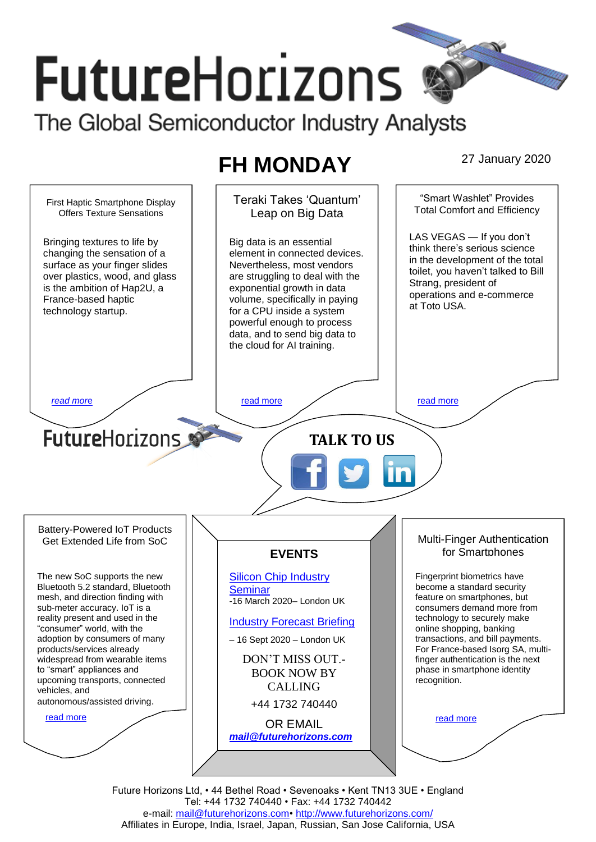# **FutureHorizons** The Global Semiconductor Industry Analysts

## **FH MONDAY** 27 January 2020



Future Horizons Ltd, • 44 Bethel Road • Sevenoaks • Kent TN13 3UE • England Tel: +44 1732 740440 • Fax: +44 1732 740442 e-mail: [mail@futurehorizons.com•](../FH%20Monday%20-%202017/mail@futurehorizons.com)<http://www.futurehorizons.com/> Affiliates in Europe, India, Israel, Japan, Russian, San Jose California, USA